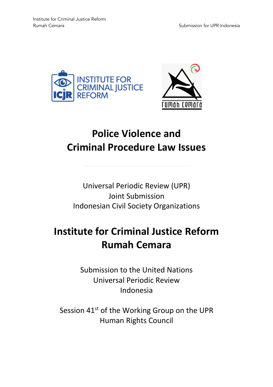



# **Police Violence and Criminal Procedure Law Issues**

Universal Periodic Review (UPR) Joint Submission Indonesian Civil Society Organizations

# **Institute for Criminal Justice Reform Rumah Cemara**

Submission to the United Nations Universal Periodic Review Indonesia

Session 41<sup>st</sup> of the Working Group on the UPR Human Rights Council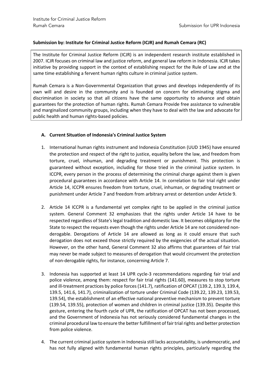### **Submission by: Institute for Criminal Justice Reform (ICJR) and Rumah Cemara (RC)**

The Institute for Criminal Justice Reform (ICJR) is an independent research institute established in 2007. ICJR focuses on criminal law and justice reform, and general law reform in Indonesia. ICJR takes initiative by providing support in the context of establishing respect for the Rule of Law and at the same time establishing a fervent human rights culture in criminal justice system.

Rumah Cemara is a Non-Governmental Organization that grows and develops independently of its own will and desire in the community and is founded on concern for eliminating stigma and discrimination in society so that all citizens have the same opportunity to advance and obtain guarantees for the protection of human rights. Rumah Cemara Provide free assistance to vulnerable and marginalized community groups, including when they have to deal with the law and advocate for public health and human rights-based policies.

# **A. Current Situation of Indonesia's Criminal Justice System**

- 1. International human rights instrument and Indonesia Constitution (UUD 1945) have ensured the protection and respect of the right to justice, equality before the law, and freedom from torture, cruel, inhuman, and degrading treatment or punishment. This protection is guaranteed without exception, including for those tried in the criminal justice system. In ICCPR, every person in the process of determining the criminal charge against them is given procedural guarantees in accordance with Article 14. In correlation to fair trial right under Article 14, ICCPR ensures freedom from torture, cruel, inhuman, or degrading treatment or punishment under Article 7 and freedom from arbitrary arrest or detention under Article 9.
- 2. Article 14 ICCPR is a fundamental yet complex right to be applied in the criminal justice system. General Comment 32 emphasizes that the rights under Article 14 have to be respected regardless of State's legal tradition and domestic law. It becomes obligatory for the State to respect the requests even though the rights under Article 14 are not considered nonderogable. Derogations of Article 14 are allowed as long as it could ensure that such derogation does not exceed those strictly required by the exigencies of the actual situation. However, on the other hand, General Comment 32 also affirms that guarantees of fair trial may never be made subject to measures of derogation that would circumvent the protection of non-derogable rights, for instance, concerning Article 7.
- 3. Indonesia has supported at least 14 UPR cycle-3 recommendations regarding fair trial and police violence, among them: respect for fair trial rights (141.60), measures to stop torture and ill-treatment practices by police forces (141.7), ratification of OPCAT (139.2, 139.3, 139.4, 139.5, 141.6, 141.7), criminalization of torture under Criminal Code (139.22, 139.23, 139.53, 139.54), the establishment of an effective national preventive mechanism to prevent torture (139.54, 139.55), protection of women and children in criminal justice (139.35). Despite this gesture, entering the fourth cycle of UPR, the ratification of OPCAT has not been processed, and the Government of Indonesia has not seriously considered fundamental changes in the criminal procedural law to ensure the better fulfillment of fair trial rights and better protection from police violence.
- 4. The current criminal justice system in Indonesia still lacks accountability, is undemocratic, and has not fully aligned with fundamental human rights principles, particularly regarding the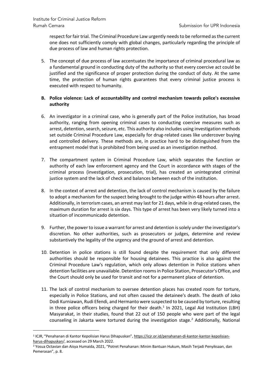respect for fair trial. The Criminal Procedure Law urgently needs to be reformed as the current one does not sufficiently comply with global changes, particularly regarding the principle of due process of law and human rights protection.

5. The concept of due process of law accentuates the importance of criminal procedural law as a fundamental ground in conducting duty of the authority so that every coercive act could be justified and the significance of proper protection during the conduct of duty. At the same time, the protection of human rights guarantees that every criminal justice process is executed with respect to humanity.

# **B. Police violence: Lack of accountability and control mechanism towards police's excessive authority**

- 6. An investigator in a criminal case, who is generally part of the Police institution, has broad authority, ranging from opening criminal cases to conducting coercive measures such as arrest, detention, search, seizure, etc. This authority also includes using investigation methods set outside Criminal Procedure Law, especially for drug-related cases like undercover buying and controlled delivery. These methods are, in practice hard to be distinguished from the entrapment model that is prohibited from being used as an investigation method.
- 7. The compartment system in Criminal Procedure Law, which separates the function or authority of each law enforcement agency and the Court in accordance with stages of the criminal process (investigation, prosecution, trial), has created an unintegrated criminal justice system and the lack of check and balances between each of the institution.
- 8. In the context of arrest and detention, the lack of control mechanism is caused by the failure to adopt a mechanism for the suspect being brought to the judge within 48 hours after arrest. Additionally, in terrorism cases, an arrest may last for 21 days, while in drug-related cases, the maximum duration for arrest is six days. This type of arrest has been very likely turned into a situation of incommunicado detention.
- 9. Further, the power to issue a warrant for arrest and detention is solely under the investigator's discretion. No other authorities, such as prosecutors or judges, determine and review substantively the legality of the urgency and the ground of arrest and detention.
- 10. Detention in police stations is still found despite the requirement that only different authorities should be responsible for housing detainees. This practice is also against the Criminal Procedure Law's regulation, which only allows detention in Police stations when detention facilities are unavailable. Detention roomsin Police Station, Prosecutor's Office, and the Court should only be used for transit and not for a permanent place of detention.
- 11. The lack of control mechanism to oversee detention places has created room for torture, especially in Police Stations, and not often caused the detainee's death. The death of Joko Dodi Kurniawan, Rudi Efendi, and Hermanto were suspected to be caused by torture, resulting in three police officers being charged for their death.<sup>1</sup> In 2021, Legal Aid Institution (LBH) Masyarakat, in their studies, found that 22 out of 150 people who were part of the legal counseling in Jakarta were tortured during the investigation stage. <sup>2</sup> Additionally, National

<sup>1</sup> ICJR, "Penahanan di Kantor Kepolisian Harus Dihapuskan", https://icjr.or.id/penahanan-di-kantor-kantor-kepolisianharus-dihapuskan/, accessed on 29 March 2022.

<sup>2</sup> Yosua Octavian dan Aisya Humaida, 2021, "Potret Penahanan: Minim Bantuan Hukum, Masih Terjadi Penyiksaan, dan Pemerasan", p. 8.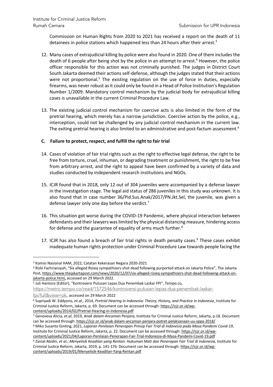Commission on Human Rights from 2020 to 2021 has received a report on the death of 11 detainees in police stations which happened less than 24 hours after their arrest.<sup>3</sup>

- 12. Many cases of extrajudicial killing by police were also found in 2020. One of them includes the death of 6 people after being shot by the police in an attempt to arrest. <sup>4</sup> However, the police officer responsible for this action was not criminally punished. The judges in District Court South Jakarta deemed their actions self-defense, although the judges stated that their actions were not proportional.<sup>5</sup> The existing regulation on the use of force in duties, especially firearms, was never robust as it could only be found in a Head of Police Institution's Regulation Number 1/2009. Mandatory control mechanism by the judicial body for extrajudicial killing cases is unavailable in the current Criminal Procedure Law.
- 13. The existing judicial control mechanism for coercive acts is also limited in the form of the pretrial hearing, which merely has a narrow jurisdiction. Coercive action by the police, e.g., interception, could not be challenged by any judicial control mechanism in the current law. The exiting pretrial hearing is also limited to an administrative and post-factum assessment.<sup>6</sup>

# **C. Failure to protect, respect, and fulfill the right to fair trial**

- 14. Cases of violation of fair trial rights such as the right to effective legal defense, the right to be free from torture, cruel, inhuman, or degrading treatment or punishment, the right to be free from arbitrary arrest, and the right to appeal have been confirmed by a variety of data and studies conducted by independent research institutions and NGOs.
- 15. ICJR found that in 2018, only 12 out of 304 juveniles were accompanied by a defense lawyer in the investigation stage. The legal aid status of 286 juveniles in this study was unknown. It is also found that in case number 36/Pid.Sus.Anak/2017/PN.Jkt.Sel, the juvenile, was given a defense lawyer only one day before the verdict.<sup>7</sup>
- 16. This situation got worse during the COVID-19 Pandemic, where physical interaction between defendants and their lawyers was limited by the physical distancing measure, hindering access for defense and the guarantee of equality of arms much further.<sup>8</sup>
- 17. ICJR has also found a breach of fair trial rights in death penalty cases.<sup>9</sup> These cases exhibit inadequate human rights protection under Criminal Procedure Law towards people facing the

<sup>5</sup> Juli Hantoro (Editor), "Kontroversi Putusan Lepas Dua Penembak Laskar FPI", Tempo.co,

<sup>3</sup> Komisi Nasional HAM, 2022, Catatan Kekerasan Negara 2020-2021

<sup>4</sup> Rizki Fachriansyah, "Six alleged Rizieq sympathizers shot dead following purported attack on Jakarta Police", The Jakarta Post, https://www.thejakartapost.com/news/2020/12/07/six-alleged-rizieq-sympathizers-shot-dead-following-attack-onjakarta-police.html**,** accessed on 29 March 2022.

https://metro.tempo.co/read/1572546/kontroversi-putusan-lepas-dua-penembak-laskar-

fpi/full&view=ok, accessed on 29 March 2022

<sup>6</sup> Supriyadi W. Eddyono, *et.al.,* 2014, *Pretrial Hearing in Indonesia: Theory, History, and Practice in Indonesia*¸ Institute for Criminal Justice Reform, Jakarta, p. 69. Document can be accessed through: https://icjr.or.id/wpcontent/uploads/2014/02/Pretrial-Hearing-in-Indonesia.pdf

<sup>7</sup> Genoveva Alicia, *et.al*, 2019, *Anak dalam Ancaman Penjara,* Institute for Criminal Justice Reform, Jakarta, p.18. Document can be accessed through: https://icjr.or.id/anak-dalam-ancaman-penjara-potret-pelaksanaan-uu-sppa-2018/

<sup>8</sup> Miko Susanto Ginting, 2021, *Laporan Penilaian Penerapan Prinsip Fair Trial di Indonesia pada Masa Pandemi Covid-19*, Institute for Criminal Justice Reform, Jakarta, p. 22. Document can be accessed through: https://icjr.or.id/wp-

content/uploads/2021/04/Laporan-Penilaian-Penerapan-Fair-Trial-Indonesia-di-Masa-Pandemi-Covid-19.pdf <sup>9</sup> Zainal Abidin, *et al.*, *Menyelisik Keadilan yang Rentan: Hukuman Mati dan Penerapan Fair Trial di Indonesia,* Institute for Criminal Justice Reform, Jakarta, 2019, p. 141-176. Document can be accessed through: https://icjr.or.id/wpcontent/uploads/2019/01/Menyelisik-Keadilan-Yang-Rentan.pdf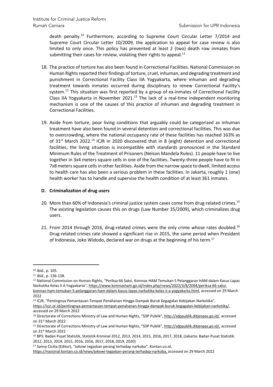death penalty.<sup>10</sup> Furthermore, according to Supreme Court Circular Letter 7/2014 and Supreme Court Circular Letter 10/2009, the application to appeal for case review is also limited to only once. This policy has prevented at least 2 (two) death row inmates from submitting their cases for review, violating their rights to appeal.<sup>11</sup>

- 18. The practice of torture has also been found in Correctional Facilities. National Commission on Human Rights reported their findings of torture, cruel, inhuman, and degrading treatment and punishment in Correctional Facility Class IIA Yogyakarta, where inhuman and degrading treatment towards inmates occurred during disciplinary to renew Correctional Facility's system.<sup>12</sup> This situation was first reported by a group of ex-inmates of Correctional Facility Class IIA Yogyakarta in November 2021.<sup>13</sup> The lack of a real-time independent monitoring mechanism is one of the causes of this practice of inhuman and degrading treatment in Correctional Facilities.
- 19. Aside from torture, poor living conditions that arguably could be categorized as inhuman treatment have also been found in several detention and correctional facilities. This was due to overcrowding, where the national occupancy rate of these facilities has reached 163% as of 31<sup>st</sup> March 2022.<sup>14</sup> ICJR in 2020 discovered that in 8 (eight) detention and correctional facilities, the living situation is incompatible with standards pronounced in the Standard Minimum Rules of the Treatment of Prisoners (Nelson Mandela Rules). 11 people have to live together in 3x4 meters square cells in one of the facilities. Twenty-three people have to fit in 7x8 meterssquare cellsin other facilities. Aside from the narrow space to dwell, limited access to health care has also been a serious problem in these facilities. In Jakarta, roughly 1 (one) health worker has to handle and supervise the health condition of at least 361 inmates.

### **D. Criminalization of drug users**

- 20. More than 60% of Indonesia's criminal justice system cases come from drug-related crimes.<sup>15</sup> The existing legislation causes this on drugs (Law Number 35/2009), which criminalizes drug users.
- 21. From 2014 through 2016, drug-related crimes were the only crime whose rates doubled.<sup>16</sup> Drug-related crimes rate showed a significant rise in 2015, the same period when President of Indonesia, Joko Widodo, declared war on drugs at the beginning of his term.17

<sup>12</sup> National Commission on Human Rights, "Periksa 66 Saksi, Komnas HAM Temukan 5 Pelanggaran HAM dalam Kasus Lapas Narkotika Kelas II A Yogyakarta", https://www.komnasham.go.id/index.php/news/2022/3/8/2094/periksa-66-saksikomnas-ham-temukan-5-pelanggaran-ham-dalam-kasus-lapas-narkotika-kelas-ii-a-yogyakarta.html, accessed on 29 March

<sup>10</sup> *Ibid.,* p. 105.

<sup>11</sup> *Ibid.,* p. 136-138.

<sup>2022</sup>

<sup>13</sup> ICJR, "Pentingnya Pemantauan Tempat Penahanan Hingga Dampak Buruk Kegagalan Kebijakan Narkotika",

https://icjr.or.id/pentingnya-pemantauan-tempat-penahanan-hingga-dampak-buruk-kegagalan-kebijakan-narkotika/, accessed on 29 March 2022

<sup>14</sup> Directorate of Corrections Ministry of Law and Human Rights, "SDP Publik", http://sdppublik.ditjenpas.go.id/, accessed on 31st March 2022

<sup>15</sup> Directorate of Corrections Ministry of Law and Human Rights, "SDP Publik", http://sdppublik.ditjenpas.go.id/, accessed on 31st March 2022

<sup>16</sup> BPS: Badan Pusat Statistik, Statistik Kriminal 2012, 2013, 2014, 2015, 2016, 2017, 2018, (Jakarta: Badan Pusat Statistik: 2012, 2013, 2014, 2015, 2016, 2016, 2017, 2018, 2019, 2020)

<sup>17</sup> Sanny Cicilia (Editor), "Jokowi tegaskan perang terhadap narkoba", Kontan.co.id,

https://nasional.kontan.co.id/news/jokowi-tegaskan-perang-terhadap-narkoba, accessed on 29 March 2022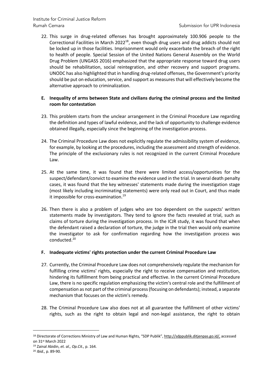22. This surge in drug-related offenses has brought approximately 100.906 people to the Correctional Facilities in March 2022<sup>18</sup>, even though drug users and drug addicts should not be locked up in those facilities. Imprisonment would only exacerbate the breach of the right to health of people. Special Session of the United Nations General Assembly on the World Drug Problem (UNGASS 2016) emphasized that the appropriate response toward drug users should be rehabilitation, social reintegration, and other recovery and support programs. UNODC has also highlighted that in handling drug-related offenses, the Government's priority should be put on education, service, and support as measures that will effectively become the alternative approach to criminalization.

### **E. Inequality of arms between State and civilians during the criminal process and the limited room for contestation**

- 23. This problem starts from the unclear arrangement in the Criminal Procedure Law regarding the definition and types of lawful evidence, and the lack of opportunity to challenge evidence obtained illegally, especially since the beginning of the investigation process.
- 24. The Criminal Procedure Law does not explicitly regulate the admissibility system of evidence, for example, by looking at the procedures, including the assessment and strength of evidence. The principle of the exclusionary rules is not recognized in the current Criminal Procedure Law.
- 25. At the same time, it was found that there were limited access/opportunities for the suspect/defendant/convict to examine the evidence used in the trial. In several death penalty cases, it was found that the key witnesses' statements made during the investigation stage (most likely including incriminating statements) were only read out in Court, and thus made it impossible for cross-examination.<sup>19</sup>
- 26. Then there is also a problem of judges who are too dependent on the suspects' written statements made by investigators. They tend to ignore the facts revealed at trial, such as claims of torture during the investigation process. In the ICJR study, it was found that when the defendant raised a declaration of torture, the judge in the trial then would only examine the investigator to ask for confirmation regarding how the investigation process was conducted. 20

#### **F. Inadequate victims' rights protection under the current Criminal Procedure Law**

- 27. Currently, the Criminal Procedure Law does not comprehensively regulate the mechanism for fulfilling crime victims' rights, especially the right to receive compensation and restitution, hindering its fulfillment from being practical and effective. In the current Criminal Procedure Law, there is no specific regulation emphasizing the victim's central role and the fulfillment of compensation as not part of the criminal process(focusing on defendants); instead, a separate mechanism that focuses on the victim's remedy.
- 28. The Criminal Procedure Law also does not at all guarantee the fulfillment of other victims' rights, such as the right to obtain legal and non-legal assistance, the right to obtain

<sup>18</sup> Directorate of Corrections Ministry of Law and Human Rights, "SDP Publik", http://sdppublik.ditjenpas.go.id/, accessed on 31st March 2022

<sup>19</sup> Zainal Abidin, *et. al., Op.Cit.,* p. 164.

<sup>20</sup> *Ibid.,* p. 89-90.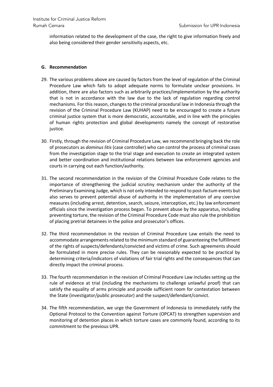information related to the development of the case, the right to give information freely and also being considered their gender sensitivity aspects, etc.

#### **G. Recommendation**

- 29. The various problems above are caused by factors from the level of regulation of the Criminal Procedure Law which fails to adopt adequate norms to formulate unclear provisions. In addition, there are also factors such as arbitrarily practices/implementation by the authority that is not in accordance with the law due to the lack of regulation regarding control mechanisms. For this reason, changes to the criminal procedural law in Indonesia through the revision of the Criminal Procedure Law (KUHAP) need to be encouraged to create a future criminal justice system that is more democratic, accountable, and in line with the principles of human rights protection and global developments namely the concept of restorative justice.
- 30. Firstly, through the revision of Criminal Procedure Law, we recommend bringing back the role of prosecutors as *dominus litis* (case controller) who can control the process of criminal cases from the investigation stage to the trial stage and execution to create an integrated system and better coordination and institutional relations between law enforcement agencies and courts in carrying out each function/authority.
- 31. The second recommendation in the revision of the Criminal Procedure Code relates to the importance of strengthening the judicial scrutiny mechanism under the authority of the Preliminary Examining Judge, which is not only intended to respond to post-factum events but also serves to prevent potential abuse of authority in the implementation of any coercive measures (including arrest, detention, search, seizure, interception, etc.) by law enforcement officials since the investigation process began. To prevent abuse by the apparatus, including preventing torture, the revision of the Criminal Procedure Code must also rule the prohibition of placing pretrial detainees in the police and prosecutor's offices.
- 32. The third recommendation in the revision of Criminal Procedure Law entails the need to accommodate arrangements related to the minimum standard of guaranteeing the fulfillment of the rights of suspects/defendants/convicted and victims of crime. Such agreements should be formulated in more precise rules. They can be reasonably expected to be practical by determining criteria/indicators of violations of fair trial rights and the consequences that can directly impact the criminal process.
- 33. The fourth recommendation in the revision of Criminal Procedure Law includes setting up the rule of evidence at trial (including the mechanisms to challenge unlawful proof) that can satisfy the equality of arms principle and provide sufficient room for contestation between the State (investigator/public prosecutor) and the suspect/defendant/convict.
- 34. The fifth recommendation, we urge the Government of Indonesia to immediately ratify the Optional Protocol to the Convention against Torture (OPCAT) to strengthen supervision and monitoring of detention places in which torture cases are commonly found, according to its commitment to the previous UPR.